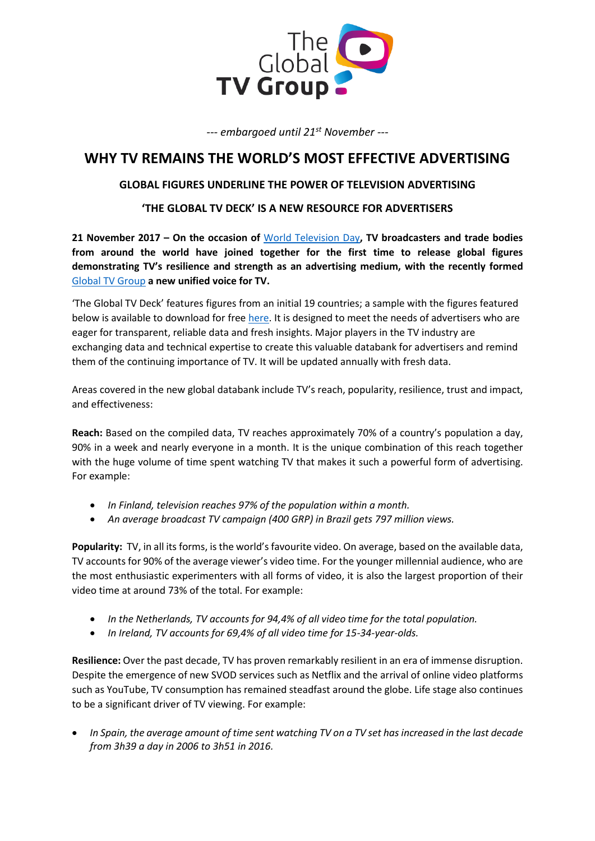

*--- embargoed until 21st November ---*

## **WHY TV REMAINS THE WORLD'S MOST EFFECTIVE ADVERTISING**

### **GLOBAL FIGURES UNDERLINE THE POWER OF TELEVISION ADVERTISING**

### **'THE GLOBAL TV DECK' IS A NEW RESOURCE FOR ADVERTISERS**

**21 November 2017 – On the occasion of** [World Television Day](http://www.worldtelevisionday.com/)**, TV broadcasters and trade bodies from around the world have joined together for the first time to release global figures demonstrating TV's resilience and strength as an advertising medium, with the recently formed**  [Global TV Group](http://www.theglobaltvgroup.com/) **a new unified voice for TV.**

'The Global TV Deck' features figures from an initial 19 countries; a sample with the figures featured below is available to download for fre[e here.](http://bit.ly/KD_sample) It is designed to meet the needs of advertisers who are eager for transparent, reliable data and fresh insights. Major players in the TV industry are exchanging data and technical expertise to create this valuable databank for advertisers and remind them of the continuing importance of TV. It will be updated annually with fresh data.

Areas covered in the new global databank include TV's reach, popularity, resilience, trust and impact, and effectiveness:

**Reach:** Based on the compiled data, TV reaches approximately 70% of a country's population a day, 90% in a week and nearly everyone in a month. It is the unique combination of this reach together with the huge volume of time spent watching TV that makes it such a powerful form of advertising. For example:

- *In Finland, television reaches 97% of the population within a month.*
- *An average broadcast TV campaign (400 GRP) in Brazil gets 797 million views.*

**Popularity:** TV, in all its forms, is the world's favourite video. On average, based on the available data, TV accounts for 90% of the average viewer's video time. For the younger millennial audience, who are the most enthusiastic experimenters with all forms of video, it is also the largest proportion of their video time at around 73% of the total. For example:

- *In the Netherlands, TV accounts for 94,4% of all video time for the total population.*
- *In Ireland, TV accounts for 69,4% of all video time for 15-34-year-olds.*

**Resilience:** Over the past decade, TV has proven remarkably resilient in an era of immense disruption. Despite the emergence of new SVOD services such as Netflix and the arrival of online video platforms such as YouTube, TV consumption has remained steadfast around the globe. Life stage also continues to be a significant driver of TV viewing. For example:

• *In Spain, the average amount of time sent watching TV on a TV set has increased in the last decade from 3h39 a day in 2006 to 3h51 in 2016.*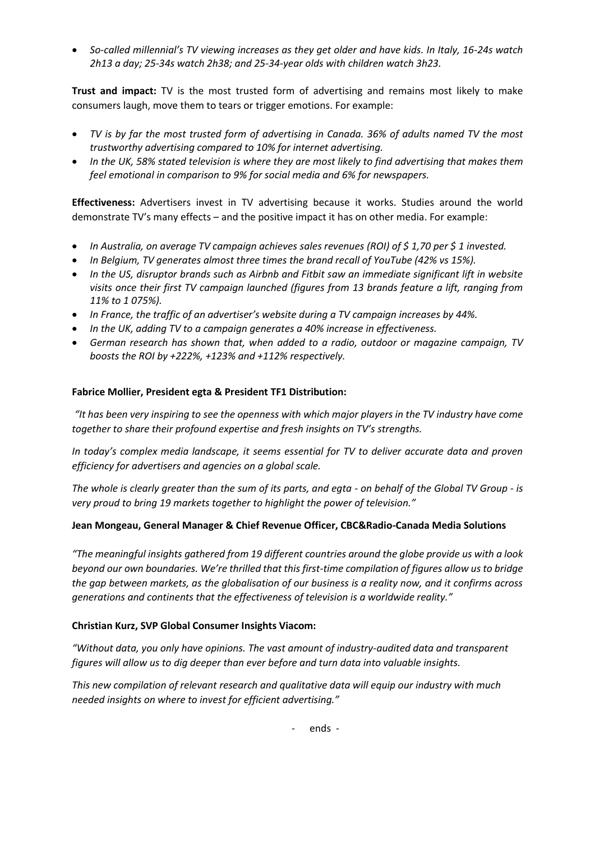• *So-called millennial's TV viewing increases as they get older and have kids. In Italy, 16-24s watch 2h13 a day; 25-34s watch 2h38; and 25-34-year olds with children watch 3h23.*

**Trust and impact:** TV is the most trusted form of advertising and remains most likely to make consumers laugh, move them to tears or trigger emotions. For example:

- *TV is by far the most trusted form of advertising in Canada. 36% of adults named TV the most trustworthy advertising compared to 10% for internet advertising.*
- *In the UK, 58% stated television is where they are most likely to find advertising that makes them feel emotional in comparison to 9% for social media and 6% for newspapers.*

**Effectiveness:** Advertisers invest in TV advertising because it works. Studies around the world demonstrate TV's many effects – and the positive impact it has on other media. For example:

- *In Australia, on average TV campaign achieves sales revenues (ROI) of \$ 1,70 per \$ 1 invested.*
- *In Belgium, TV generates almost three times the brand recall of YouTube (42% vs 15%).*
- *In the US, disruptor brands such as Airbnb and Fitbit saw an immediate significant lift in website visits once their first TV campaign launched (figures from 13 brands feature a lift, ranging from 11% to 1 075%).*
- *In France, the traffic of an advertiser's website during a TV campaign increases by 44%.*
- *In the UK, adding TV to a campaign generates a 40% increase in effectiveness.*
- *German research has shown that, when added to a radio, outdoor or magazine campaign, TV boosts the ROI by +222%, +123% and +112% respectively.*

#### **Fabrice Mollier, President egta & President TF1 Distribution:**

*"It has been very inspiring to see the openness with which major players in the TV industry have come together to share their profound expertise and fresh insights on TV's strengths.* 

*In today's complex media landscape, it seems essential for TV to deliver accurate data and proven efficiency for advertisers and agencies on a global scale.*

*The whole is clearly greater than the sum of its parts, and egta - on behalf of the Global TV Group - is very proud to bring 19 markets together to highlight the power of television."*

#### **Jean Mongeau, General Manager & Chief Revenue Officer, CBC&Radio-Canada Media Solutions**

*"The meaningful insights gathered from 19 different countries around the globe provide us with a look beyond our own boundaries. We're thrilled that this first-time compilation of figures allow us to bridge the gap between markets, as the globalisation of our business is a reality now, and it confirms across generations and continents that the effectiveness of television is a worldwide reality."*

#### **Christian Kurz, SVP Global Consumer Insights Viacom:**

*"Without data, you only have opinions. The vast amount of industry-audited data and transparent figures will allow us to dig deeper than ever before and turn data into valuable insights.* 

*This new compilation of relevant research and qualitative data will equip our industry with much needed insights on where to invest for efficient advertising."*

- ends -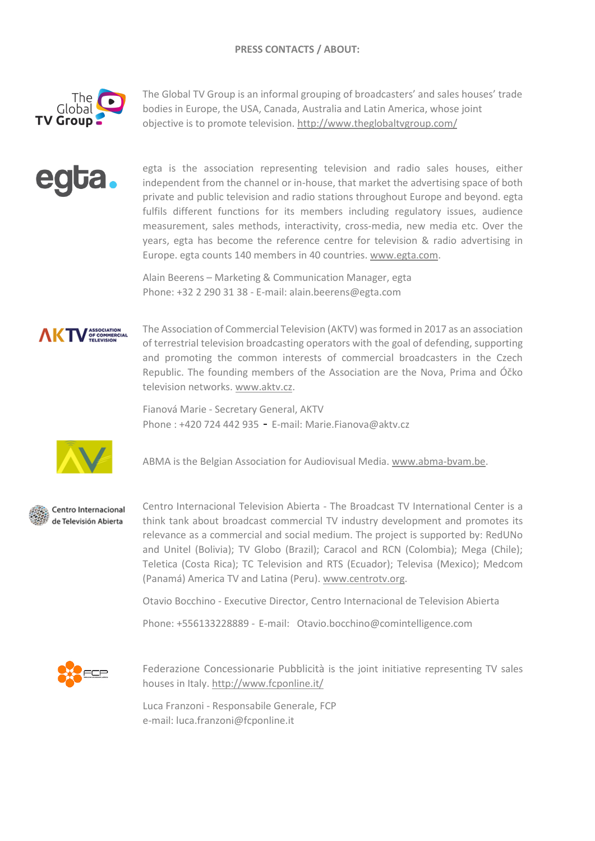

The Global TV Group is an informal grouping of broadcasters' and sales houses' trade bodies in Europe, the USA, Canada, Australia and Latin America, whose joint objective is to promote television[. http://www.theglobaltvgroup.com/](http://www.theglobaltvgroup.com/)

egta is the association representing television and radio sales houses, either independent from the channel or in-house, that market the advertising space of both private and public television and radio stations throughout Europe and beyond. egta fulfils different functions for its members including regulatory issues, audience measurement, sales methods, interactivity, cross-media, new media etc. Over the years, egta has become the reference centre for television & radio advertising in Europe. egta counts 140 members in 40 countries. [www.egta.com.](http://www.egta.com/)

Alain Beerens – Marketing & Communication Manager, egta Phone: +32 2 290 31 38 - E-mail: alain.beerens@egta.com



The Association of Commercial Television (AKTV) was formed in 2017 as an association of terrestrial television broadcasting operators with the goal of defending, supporting and promoting the common interests of commercial broadcasters in the Czech Republic. The founding members of the Association are the Nova, Prima and Óčko television networks. [www.aktv.cz.](http://www.aktv.cz/)

Fianová Marie - Secretary General, AKTV Phone : +420 724 442 935 - E-mail: Marie.Fianova@aktv.cz



ABMA is the Belgian Association for Audiovisual Media. [www.abma-bvam.be.](http://www.abma-bvam.be/)



Centro Internacional de Televisión Abierta

Centro Internacional Television Abierta - The Broadcast TV International Center is a think tank about broadcast commercial TV industry development and promotes its relevance as a commercial and social medium. The project is supported by: RedUNo and Unitel (Bolivia); TV Globo (Brazil); Caracol and RCN (Colombia); Mega (Chile); Teletica (Costa Rica); TC Television and RTS (Ecuador); Televisa (Mexico); Medcom (Panamá) America TV and Latina (Peru). [www.centrotv.org.](http://www.centrotv.org/)

Otavio Bocchino - Executive Director, Centro Internacional de Television Abierta

Phone: +556133228889 - E-mail: Otavio.bocchino@comintelligence.com



Federazione Concessionarie Pubblicità is the joint initiative representing TV sales houses in Italy.<http://www.fcponline.it/>

Luca Franzoni - Responsabile Generale, FCP e-mail: luca.franzoni@fcponline.it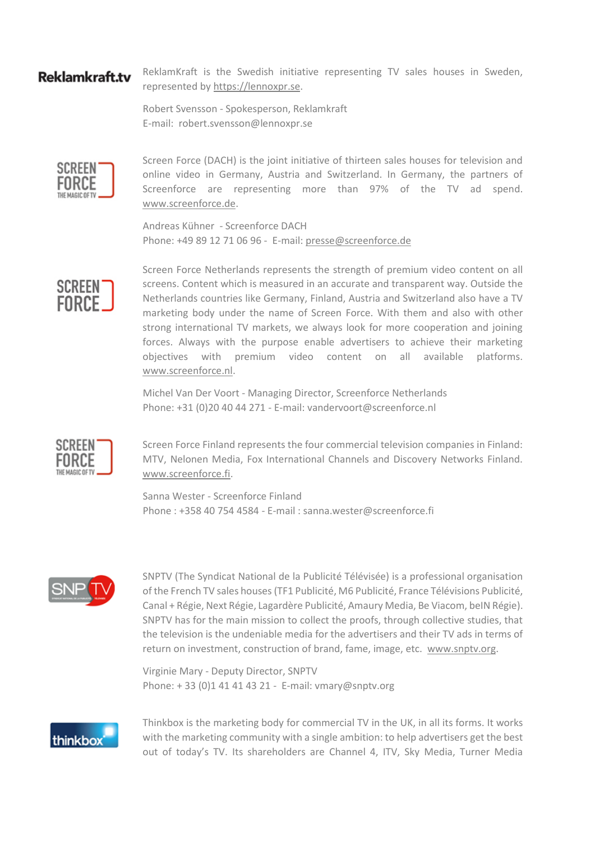# **Reklamkraft.tv**

ReklamKraft is the Swedish initiative representing TV sales houses in Sweden, represented by https://lennoxpr.se.

Robert Svensson - Spokesperson, Reklamkraft E-mail: robert.svensson@lennoxpr.se



Screen Force (DACH) is the joint initiative of thirteen sales houses for television and online video in Germany, Austria and Switzerland. In Germany, the partners of Screenforce are representing more than 97% of the TV ad spend. [www.screenforce.de.](http://www.screenforce.de/)

Andreas Kühner - Screenforce DACH Phone: +49 89 12 71 06 96 - E-mail: [presse@screenforce.de](mailto:presse@screenforce.de)



Screen Force Netherlands represents the strength of premium video content on all screens. Content which is measured in an accurate and transparent way. Outside the Netherlands countries like Germany, Finland, Austria and Switzerland also have a TV marketing body under the name of Screen Force. With them and also with other strong international TV markets, we always look for more cooperation and joining forces. Always with the purpose enable advertisers to achieve their marketing objectives with premium video content on all available platforms. [www.screenforce.nl.](http://www.screenforce.nl/)

Michel Van Der Voort - Managing Director, Screenforce Netherlands Phone: +31 (0)20 40 44 271 - E-mail: vandervoort@screenforce.nl



Screen Force Finland represents the four commercial television companies in Finland: MTV, Nelonen Media, Fox International Channels and Discovery Networks Finland. [www.screenforce.fi.](http://www.screenforce.fi/)

Sanna Wester - Screenforce Finland Phone : +358 40 754 4584 - E-mail : sanna.wester@screenforce.fi



SNPTV (The Syndicat National de la Publicité Télévisée) is a professional organisation of the French TV sales houses (TF1 Publicité, M6 Publicité, France Télévisions Publicité, Canal + Régie, Next Régie, Lagardère Publicité, Amaury Media, Be Viacom, beIN Régie). SNPTV has for the main mission to collect the proofs, through collective studies, that the television is the undeniable media for the advertisers and their TV ads in terms of return on investment, construction of brand, fame, image, etc. [www.snptv.org.](http://www.snptv.org/)

Virginie Mary - Deputy Director, SNPTV Phone: + 33 (0)1 41 41 43 21 - E-mail: vmary@snptv.org



Thinkbox is the marketing body for commercial TV in the UK, in all its forms. It works with the marketing community with a single ambition: to help advertisers get the best out of today's TV. Its shareholders are Channel 4, ITV, Sky Media, Turner Media